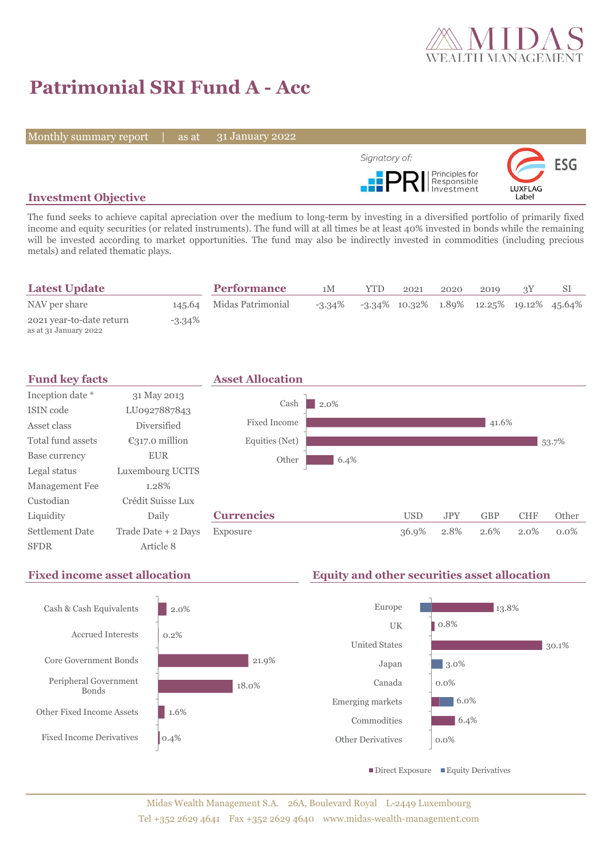

13.8%

 $\blacksquare$  Direct Exposure  $\blacksquare$  Equity Derivatives

30.1%

# **Patrimonial SRI Fund A - Acc**

Monthly summary report | as at

31 January 2022



### **Investment Objective**

The fund seeks to achieve capital apreciation over the medium to long-term by investing in a diversified portfolio of primarily fixed income and equity securities (or related instruments). The fund will at all times be at least 40% invested in bonds while the remaining will be invested according to market opportunities. The fund may also be indirectly invested in commodities (including precious metals) and related thematic plays.

| <b>Latest Update</b>                              |           | <b>Performance</b>       | 1M        | YTD. | 2021                                             | 2020 | 2019 |  |
|---------------------------------------------------|-----------|--------------------------|-----------|------|--------------------------------------------------|------|------|--|
| NAV per share                                     |           | 145.64 Midas Patrimonial | $-3.34\%$ |      | $-3.34\%$ 10.32\% 1.89\% 12.25\% 19.12\% 45.64\% |      |      |  |
| 2021 year-to-date return<br>as at 31 January 2022 | $-3.34\%$ |                          |           |      |                                                  |      |      |  |



#### **Fixed income asset allocation Equity and other securities asset allocation** 2.0% 0.2% 21.9% 18.0% 1.6% 0.4% Cash & Cash Equivalents Accrued Interests Core Government Bonds Peripheral Government Bonds Other Fixed Income Assets Fixed Income Derivatives 0.8% 3.0%  $0.0\%$ 6.0%  $\blacksquare$  6.4% 0.0% Europe UK United States Japan Canada Emerging markets Commodities Other Derivatives

Midas Wealth Management S.A. 26A, Boulevard Royal L-2449 Luxembourg Tel +352 2629 4641 Fax +352 2629 4640 www.midas-wealth-management.com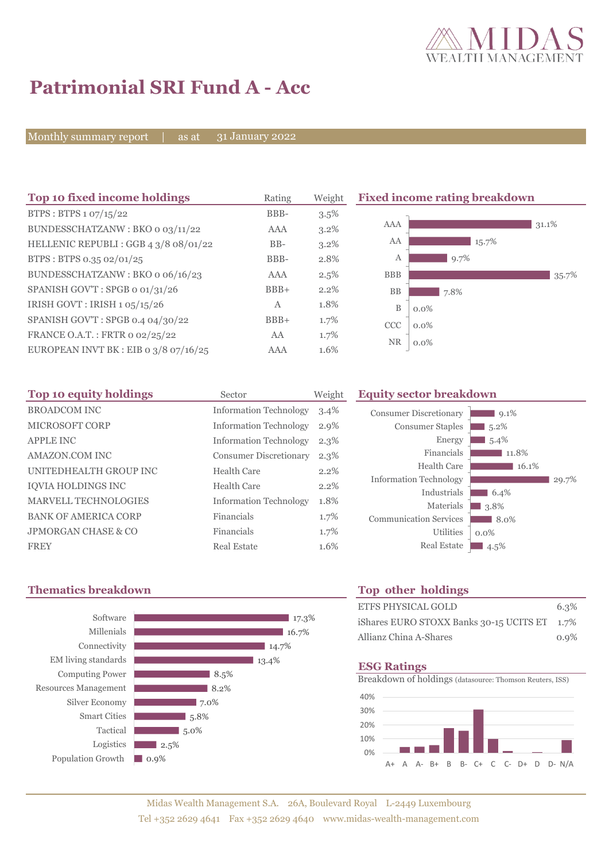

 $\Box$  9.1% 5.2%  $5.4\%$ 

 $6.4\%$ 3.8<sup>%</sup> 8.0% 0.0%

11.8% 16.1%

 $29.7%$ 

## **Patrimonial SRI Fund A - Acc**

Monthly summary report | as at

31 January 2022

| Top 10 fixed income holdings            | Rating     | Weight  |            | <b>Fixed income rating breakdown</b> |       |
|-----------------------------------------|------------|---------|------------|--------------------------------------|-------|
| BTPS: BTPS 1 07/15/22                   | BBB-       | 3.5%    |            |                                      |       |
| BUNDESSCHATZANW: BKO 0 03/11/22         | <b>AAA</b> | 3.2%    | AAA        |                                      | 31.1% |
| HELLENIC REPUBLI: GGB 4 3/8 08/01/22    | $BB-$      | $3.2\%$ | AA         | 15.7%                                |       |
| BTPS: BTPS 0.35 02/01/25                | BBB-       | 2.8%    | A          | 9.7%                                 |       |
| BUNDESSCHATZANW: BKO o 06/16/23         | AAA        | 2.5%    | <b>BBB</b> |                                      | 35.7% |
| SPANISH GOV'T: SPGB o 01/31/26          | $BBB+$     | 2.2%    | <b>BB</b>  | 7.8%                                 |       |
| IRISH GOVT : IRISH 1 05/15/26           | A          | 1.8%    | B          | $0.0\%$                              |       |
| SPANISH GOV'T: SPGB 0.4 04/30/22        | $BBB+$     | 1.7%    | <b>CCC</b> | $0.0\%$                              |       |
| FRANCE O.A.T.: FRTR 0 02/25/22          | AA         | 1.7%    |            |                                      |       |
| EUROPEAN INVT BK : EIB o $3/8$ o7/16/25 | AAA        | 1.6%    | <b>NR</b>  | $0.0\%$                              |       |

| Top 10 equity holdings         | Sector                        | Weight  | <b>Equity sector breakdown</b> |            |
|--------------------------------|-------------------------------|---------|--------------------------------|------------|
| <b>BROADCOM INC</b>            | <b>Information Technology</b> | $3.4\%$ | <b>Consumer Discretionary</b>  |            |
| <b>MICROSOFT CORP</b>          | <b>Information Technology</b> | 2.9%    | <b>Consumer Staples</b>        | 5.         |
| <b>APPLE INC</b>               | <b>Information Technology</b> | $2.3\%$ | Energy                         | .5.        |
| AMAZON.COM INC                 | <b>Consumer Discretionary</b> | $2.3\%$ | Financials                     |            |
| UNITEDHEALTH GROUP INC         | Health Care                   | 2.2%    | Health Care                    |            |
| <b>IQVIA HOLDINGS INC</b>      | Health Care                   | 2.2%    | <b>Information Technology</b>  |            |
| <b>MARVELL TECHNOLOGIES</b>    | <b>Information Technology</b> | 1.8%    | Industrials<br>Materials       | - 6<br>3.8 |
| <b>BANK OF AMERICA CORP</b>    | Financials                    | $1.7\%$ | <b>Communication Services</b>  |            |
| <b>JPMORGAN CHASE &amp; CO</b> | Financials                    | 1.7%    | Utilities                      | $0.0\%$    |
| <b>FREY</b>                    | <b>Real Estate</b>            | 1.6%    | <b>Real Estate</b>             | 4.5        |

## **Thematics breakdown Top other holdings**



| ETFS PHYSICAL GOLD                           | 6.3% |
|----------------------------------------------|------|
| iShares EURO STOXX Banks 30-15 UCITS ET 1.7% |      |
| Allianz China A-Shares                       | 0.9% |

Real Estate 4.5%

#### **ESG Ratings**

Breakdown of holdings (datasource: Thomson Reuters, ISS)